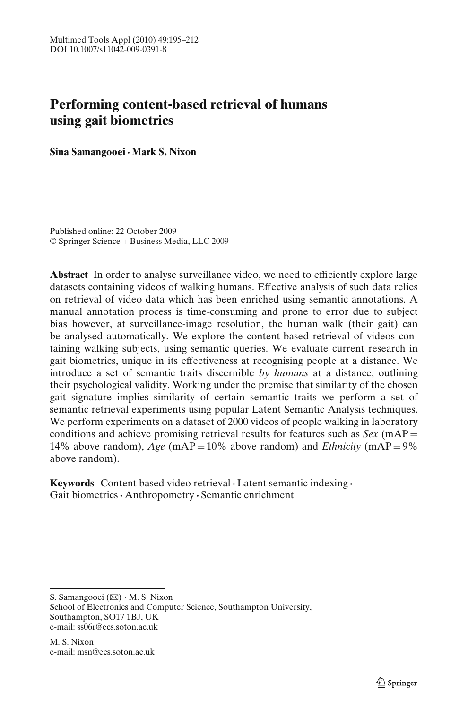# **Performing content-based retrieval of humans using gait biometrics**

**Sina Samangooei· Mark S. Nixon**

Published online: 22 October 2009 © Springer Science + Business Media, LLC 2009

**Abstract** In order to analyse surveillance video, we need to efficiently explore large datasets containing videos of walking humans. Effective analysis of such data relies on retrieval of video data which has been enriched using semantic annotations. A manual annotation process is time-consuming and prone to error due to subject bias however, at surveillance-image resolution, the human walk (their gait) can be analysed automatically. We explore the content-based retrieval of videos containing walking subjects, using semantic queries. We evaluate current research in gait biometrics, unique in its effectiveness at recognising people at a distance. We introduce a set of semantic traits discernible *by humans* at a distance, outlining their psychological validity. Working under the premise that similarity of the chosen gait signature implies similarity of certain semantic traits we perform a set of semantic retrieval experiments using popular Latent Semantic Analysis techniques. We perform experiments on a dataset of 2000 videos of people walking in laboratory conditions and achieve promising retrieval results for features such as *Sex* (mAP = 14% above random), *Age* (mAP = 10% above random) and *Ethnicity* (mAP = 9% above random).

**Keywords** Content based video retrieval**·**Latent semantic indexing **·** Gait biometrics**·** Anthropometry **·** Semantic enrichment

S. Samangooei ( $\boxtimes$ ) · M. S. Nixon School of Electronics and Computer Science, Southampton University, Southampton, SO17 1BJ, UK e-mail: ss06r@ecs.soton.ac.uk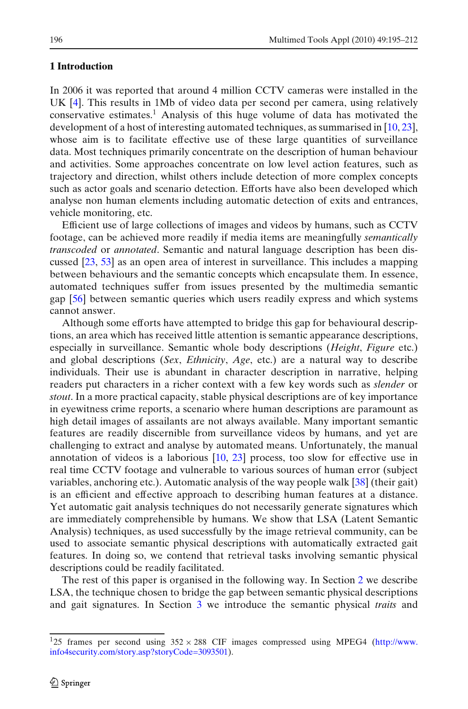# **1 Introduction**

In 2006 it was reported that around 4 million CCTV cameras were installed in the UK [\[4](#page-15-0)]. This results in 1Mb of video data per second per camera, using relatively conservative estimates.<sup>1</sup> Analysis of this huge volume of data has motivated the development of a host of interesting automated techniques, as summarised in [\[10](#page-15-0), [23](#page-15-0)], whose aim is to facilitate effective use of these large quantities of surveillance data. Most techniques primarily concentrate on the description of human behaviour and activities. Some approaches concentrate on low level action features, such as trajectory and direction, whilst others include detection of more complex concepts such as actor goals and scenario detection. Efforts have also been developed which analyse non human elements including automatic detection of exits and entrances, vehicle monitoring, etc.

Efficient use of large collections of images and videos by humans, such as CCTV footage, can be achieved more readily if media items are meaningfully *semantically transcoded* or *annotated*. Semantic and natural language description has been discussed [\[23](#page-15-0), [53](#page-16-0)] as an open area of interest in surveillance. This includes a mapping between behaviours and the semantic concepts which encapsulate them. In essence, automated techniques suffer from issues presented by the multimedia semantic gap [\[56\]](#page-16-0) between semantic queries which users readily express and which systems cannot answer.

Although some efforts have attempted to bridge this gap for behavioural descriptions, an area which has received little attention is semantic appearance descriptions, especially in surveillance. Semantic whole body descriptions (*Height*, *Figure* etc.) and global descriptions (*Sex*, *Ethnicity*, *Age*, etc.) are a natural way to describe individuals. Their use is abundant in character description in narrative, helping readers put characters in a richer context with a few key words such as *slender* or *stout*. In a more practical capacity, stable physical descriptions are of key importance in eyewitness crime reports, a scenario where human descriptions are paramount as high detail images of assailants are not always available. Many important semantic features are readily discernible from surveillance videos by humans, and yet are challenging to extract and analyse by automated means. Unfortunately, the manual annotation of videos is a laborious [\[10](#page-15-0), [23\]](#page-15-0) process, too slow for effective use in real time CCTV footage and vulnerable to various sources of human error (subject variables, anchoring etc.). Automatic analysis of the way people walk [\[38](#page-16-0)] (their gait) is an efficient and effective approach to describing human features at a distance. Yet automatic gait analysis techniques do not necessarily generate signatures which are immediately comprehensible by humans. We show that LSA (Latent Semantic Analysis) techniques, as used successfully by the image retrieval community, can be used to associate semantic physical descriptions with automatically extracted gait features. In doing so, we contend that retrieval tasks involving semantic physical descriptions could be readily facilitated.

The rest of this paper is organised in the following way. In Section [2](#page-2-0) we describe LSA, the technique chosen to bridge the gap between semantic physical descriptions and gait signatures. In Section [3](#page-3-0) we introduce the semantic physical *traits* and

<sup>&</sup>lt;sup>1</sup>25 frames per second using  $352 \times 288$  CIF images compressed using MPEG4 [\(http://www.](http://www.info4security.com/story.asp?storyCode=3093501) [info4security.com/story.asp?storyCode=3093501\)](http://www.info4security.com/story.asp?storyCode=3093501).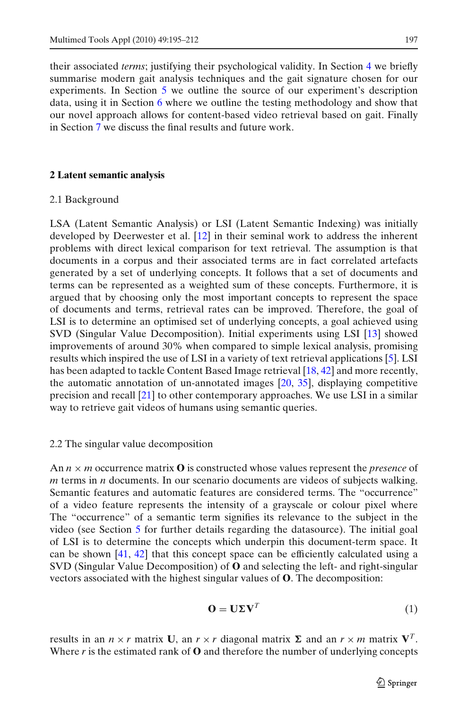<span id="page-2-0"></span>their associated *terms*; justifying their psychological validity. In Section [4](#page-6-0) we briefly summarise modern gait analysis techniques and the gait signature chosen for our experiments. In Section [5](#page-7-0) we outline the source of our experiment's description data, using it in Section [6](#page-11-0) where we outline the testing methodology and show that our novel approach allows for content-based video retrieval based on gait. Finally in Section [7](#page-14-0) we discuss the final results and future work.

# **2 Latent semantic analysis**

### 2.1 Background

LSA (Latent Semantic Analysis) or LSI (Latent Semantic Indexing) was initially developed by Deerwester et al. [\[12\]](#page-15-0) in their seminal work to address the inherent problems with direct lexical comparison for text retrieval. The assumption is that documents in a corpus and their associated terms are in fact correlated artefacts generated by a set of underlying concepts. It follows that a set of documents and terms can be represented as a weighted sum of these concepts. Furthermore, it is argued that by choosing only the most important concepts to represent the space of documents and terms, retrieval rates can be improved. Therefore, the goal of LSI is to determine an optimised set of underlying concepts, a goal achieved using SVD (Singular Value Decomposition). Initial experiments using LSI [\[13\]](#page-15-0) showed improvements of around 30% when compared to simple lexical analysis, promising results which inspired the use of LSI in a variety of text retrieval applications [\[5\]](#page-15-0). LSI has been adapted to tackle Content Based Image retrieval [\[18](#page-15-0), [42\]](#page-16-0) and more recently, the automatic annotation of un-annotated images [\[20,](#page-15-0) [35](#page-16-0)], displaying competitive precision and recall [\[21](#page-15-0)] to other contemporary approaches. We use LSI in a similar way to retrieve gait videos of humans using semantic queries.

# 2.2 The singular value decomposition

An  $n \times m$  occurrence matrix **O** is constructed whose values represent the *presence* of *m* terms in *n* documents. In our scenario documents are videos of subjects walking. Semantic features and automatic features are considered terms. The "occurrence" of a video feature represents the intensity of a grayscale or colour pixel where The "occurrence" of a semantic term signifies its relevance to the subject in the video (see Section [5](#page-7-0) for further details regarding the datasource). The initial goal of LSI is to determine the concepts which underpin this document-term space. It can be shown [\[41](#page-16-0), [42\]](#page-16-0) that this concept space can be efficiently calculated using a SVD (Singular Value Decomposition) of **O** and selecting the left- and right-singular vectors associated with the highest singular values of **O**. The decomposition:

$$
\mathbf{O} = \mathbf{U} \mathbf{\Sigma} \mathbf{V}^T \tag{1}
$$

results in an  $n \times r$  matrix **U**, an  $r \times r$  diagonal matrix  $\Sigma$  and an  $r \times m$  matrix  $V<sup>T</sup>$ . Where *r* is the estimated rank of **O** and therefore the number of underlying concepts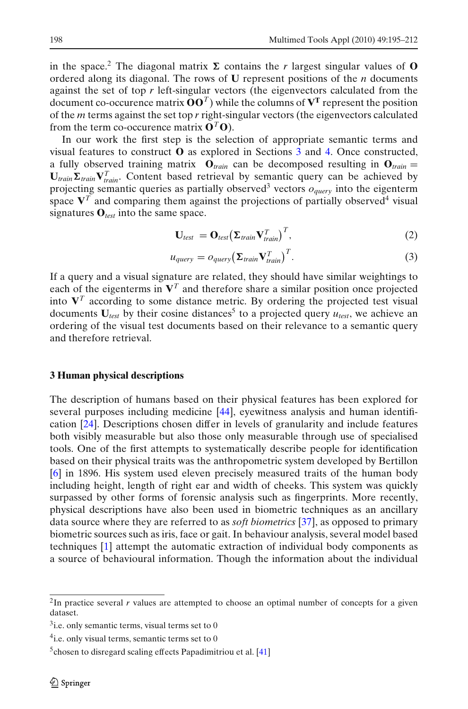<span id="page-3-0"></span>in the space.<sup>2</sup> The diagonal matrix  $\Sigma$  contains the *r* largest singular values of **O** ordered along its diagonal. The rows of **U** represent positions of the *n* documents against the set of top *r* left-singular vectors (the eigenvectors calculated from the document co-occurence matrix  $\mathbf{O}\mathbf{O}^T$ ) while the columns of  $\mathbf{V}^T$  represent the position of the *m* terms against the set top *r* right-singular vectors (the eigenvectors calculated from the term co-occurence matrix  $O<sup>T</sup>O$ ).

In our work the first step is the selection of appropriate semantic terms and visual features to construct **O** as explored in Sections 3 and [4.](#page-6-0) Once constructed, a fully observed training matrix  $\mathbf{O}_{train}$  can be decomposed resulting in  $\mathbf{O}_{train} =$  $U_{train} \Sigma_{train} V_{train}^T$ . Content based retrieval by semantic query can be achieved by projecting semantic queries as partially observed<sup>3</sup> vectors  $o_{query}$  into the eigenterm space  $V^T$  and comparing them against the projections of partially observed<sup>4</sup> visual signatures **O***test* into the same space.

$$
\mathbf{U}_{test} = \mathbf{O}_{test} (\mathbf{\Sigma}_{train} \mathbf{V}_{train}^T)^T, \tag{2}
$$

$$
u_{query} = o_{query} (\Sigma_{train} V_{train}^T)^T.
$$
\n(3)

If a query and a visual signature are related, they should have similar weightings to each of the eigenterms in  $V^T$  and therefore share a similar position once projected into  $V<sup>T</sup>$  according to some distance metric. By ordering the projected test visual documents  $U_{test}$  by their cosine distances<sup>5</sup> to a projected query  $u_{test}$ , we achieve an ordering of the visual test documents based on their relevance to a semantic query and therefore retrieval.

#### **3 Human physical descriptions**

The description of humans based on their physical features has been explored for several purposes including medicine [\[44\]](#page-16-0), eyewitness analysis and human identification [\[24\]](#page-15-0). Descriptions chosen differ in levels of granularity and include features both visibly measurable but also those only measurable through use of specialised tools. One of the first attempts to systematically describe people for identification based on their physical traits was the anthropometric system developed by Bertillon [\[6\]](#page-15-0) in 1896. His system used eleven precisely measured traits of the human body including height, length of right ear and width of cheeks. This system was quickly surpassed by other forms of forensic analysis such as fingerprints. More recently, physical descriptions have also been used in biometric techniques as an ancillary data source where they are referred to as *soft biometrics* [\[37\]](#page-16-0), as opposed to primary biometric sources such as iris, face or gait. In behaviour analysis, several model based techniques [\[1](#page-15-0)] attempt the automatic extraction of individual body components as a source of behavioural information. Though the information about the individual

 $2$ In practice several  $r$  values are attempted to choose an optimal number of concepts for a given dataset.

 $3i.e.$  only semantic terms, visual terms set to 0

<sup>&</sup>lt;sup>4</sup>i.e. only visual terms, semantic terms set to 0

 $5$ chosen to disregard scaling effects Papadimitriou et al. [\[41](#page-16-0)]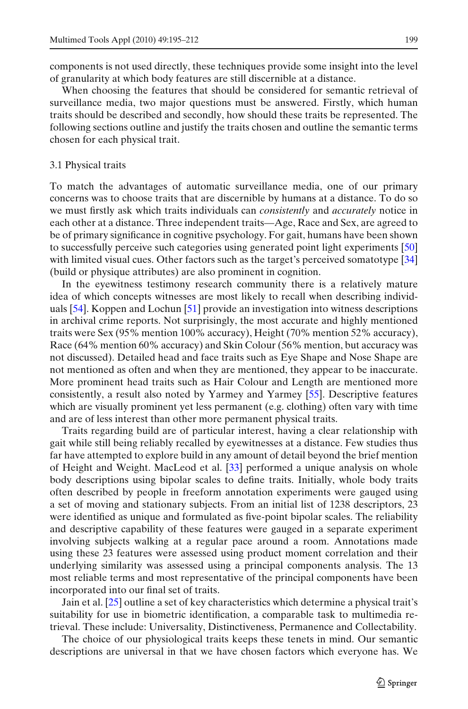components is not used directly, these techniques provide some insight into the level of granularity at which body features are still discernible at a distance.

When choosing the features that should be considered for semantic retrieval of surveillance media, two major questions must be answered. Firstly, which human traits should be described and secondly, how should these traits be represented. The following sections outline and justify the traits chosen and outline the semantic terms chosen for each physical trait.

# 3.1 Physical traits

To match the advantages of automatic surveillance media, one of our primary concerns was to choose traits that are discernible by humans at a distance. To do so we must firstly ask which traits individuals can *consistently* and *accurately* notice in each other at a distance. Three independent traits—Age, Race and Sex, are agreed to be of primary significance in cognitive psychology. For gait, humans have been shown to successfully perceive such categories using generated point light experiments [\[50](#page-16-0)] with limited visual cues. Other factors such as the target's perceived somatotype [\[34](#page-16-0)] (build or physique attributes) are also prominent in cognition.

In the eyewitness testimony research community there is a relatively mature idea of which concepts witnesses are most likely to recall when describing individuals [\[54](#page-16-0)]. Koppen and Lochun [\[51](#page-16-0)] provide an investigation into witness descriptions in archival crime reports. Not surprisingly, the most accurate and highly mentioned traits were Sex (95% mention 100% accuracy), Height (70% mention 52% accuracy), Race (64% mention 60% accuracy) and Skin Colour (56% mention, but accuracy was not discussed). Detailed head and face traits such as Eye Shape and Nose Shape are not mentioned as often and when they are mentioned, they appear to be inaccurate. More prominent head traits such as Hair Colour and Length are mentioned more consistently, a result also noted by Yarmey and Yarmey [\[55\]](#page-16-0). Descriptive features which are visually prominent yet less permanent (e.g. clothing) often vary with time and are of less interest than other more permanent physical traits.

Traits regarding build are of particular interest, having a clear relationship with gait while still being reliably recalled by eyewitnesses at a distance. Few studies thus far have attempted to explore build in any amount of detail beyond the brief mention of Height and Weight. MacLeod et al. [\[33\]](#page-16-0) performed a unique analysis on whole body descriptions using bipolar scales to define traits. Initially, whole body traits often described by people in freeform annotation experiments were gauged using a set of moving and stationary subjects. From an initial list of 1238 descriptors, 23 were identified as unique and formulated as five-point bipolar scales. The reliability and descriptive capability of these features were gauged in a separate experiment involving subjects walking at a regular pace around a room. Annotations made using these 23 features were assessed using product moment correlation and their underlying similarity was assessed using a principal components analysis. The 13 most reliable terms and most representative of the principal components have been incorporated into our final set of traits.

Jain et al. [\[25](#page-15-0)] outline a set of key characteristics which determine a physical trait's suitability for use in biometric identification, a comparable task to multimedia retrieval. These include: Universality, Distinctiveness, Permanence and Collectability.

The choice of our physiological traits keeps these tenets in mind. Our semantic descriptions are universal in that we have chosen factors which everyone has. We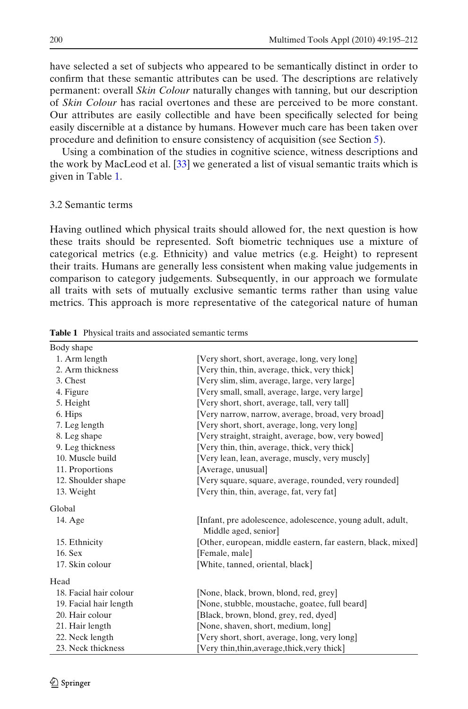<span id="page-5-0"></span>have selected a set of subjects who appeared to be semantically distinct in order to confirm that these semantic attributes can be used. The descriptions are relatively permanent: overall *Skin Colour* naturally changes with tanning, but our description of *Skin Colour* has racial overtones and these are perceived to be more constant. Our attributes are easily collectible and have been specifically selected for being easily discernible at a distance by humans. However much care has been taken over procedure and definition to ensure consistency of acquisition (see Section [5\)](#page-7-0).

Using a combination of the studies in cognitive science, witness descriptions and the work by MacLeod et al. [\[33](#page-16-0)] we generated a list of visual semantic traits which is given in Table 1.

## 3.2 Semantic terms

Having outlined which physical traits should allowed for, the next question is how these traits should be represented. Soft biometric techniques use a mixture of categorical metrics (e.g. Ethnicity) and value metrics (e.g. Height) to represent their traits. Humans are generally less consistent when making value judgements in comparison to category judgements. Subsequently, in our approach we formulate all traits with sets of mutually exclusive semantic terms rather than using value metrics. This approach is more representative of the categorical nature of human

| Body shape             |                                                                                   |  |
|------------------------|-----------------------------------------------------------------------------------|--|
| 1. Arm length          | [Very short, short, average, long, very long]                                     |  |
| 2. Arm thickness       | [Very thin, thin, average, thick, very thick]                                     |  |
| 3. Chest               | [Very slim, slim, average, large, very large]                                     |  |
| 4. Figure              | [Very small, small, average, large, very large]                                   |  |
| 5. Height              | [Very short, short, average, tall, very tall]                                     |  |
| 6. Hips                | [Very narrow, narrow, average, broad, very broad]                                 |  |
| 7. Leg length          | [Very short, short, average, long, very long]                                     |  |
| 8. Leg shape           | [Very straight, straight, average, bow, very bowed]                               |  |
| 9. Leg thickness       | [Very thin, thin, average, thick, very thick]                                     |  |
| 10. Muscle build       | [Very lean, lean, average, muscly, very muscly]                                   |  |
| 11. Proportions        | [Average, unusual]                                                                |  |
| 12. Shoulder shape     | [Very square, square, average, rounded, very rounded]                             |  |
| 13. Weight             | [Very thin, thin, average, fat, very fat]                                         |  |
| Global                 |                                                                                   |  |
| 14. Age                | [Infant, pre adolescence, adolescence, young adult, adult,<br>Middle aged, senior |  |
| 15. Ethnicity          | [Other, european, middle eastern, far eastern, black, mixed]                      |  |
| 16. Sex                | [Female, male]                                                                    |  |
| 17. Skin colour        | [White, tanned, oriental, black]                                                  |  |
| Head                   |                                                                                   |  |
| 18. Facial hair colour | [None, black, brown, blond, red, grey]                                            |  |
| 19. Facial hair length | [None, stubble, moustache, goatee, full beard]                                    |  |
| 20. Hair colour        | [Black, brown, blond, grey, red, dyed]                                            |  |
| 21. Hair length        | [None, shaven, short, medium, long]                                               |  |
| 22. Neck length        | [Very short, short, average, long, very long]                                     |  |
| 23. Neck thickness     | [Very thin, thin, average, thick, very thick]                                     |  |

**Table 1** Physical traits and associated semantic terms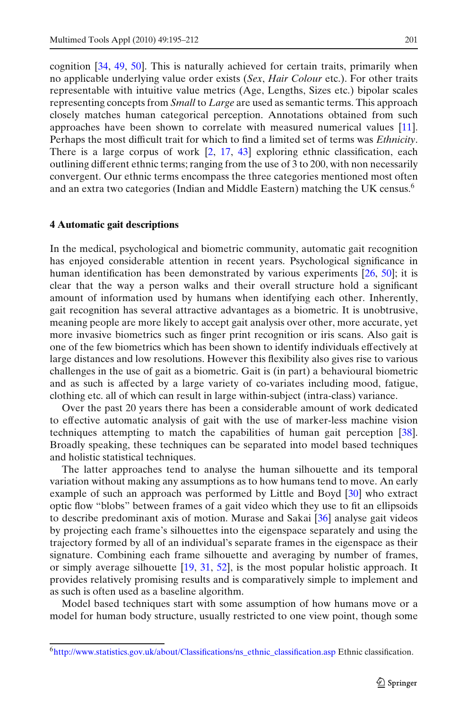<span id="page-6-0"></span>cognition [\[34,](#page-16-0) [49](#page-16-0), [50\]](#page-16-0). This is naturally achieved for certain traits, primarily when no applicable underlying value order exists (*Sex*, *Hair Colour* etc.). For other traits representable with intuitive value metrics (Age, Lengths, Sizes etc.) bipolar scales representing concepts from *Small* to *Large* are used as semantic terms. This approach closely matches human categorical perception. Annotations obtained from such approaches have been shown to correlate with measured numerical values [\[11](#page-15-0)]. Perhaps the most difficult trait for which to find a limited set of terms was *Ethnicity*. There is a large corpus of work  $[2, 17, 43]$  $[2, 17, 43]$  $[2, 17, 43]$  $[2, 17, 43]$  $[2, 17, 43]$  $[2, 17, 43]$  exploring ethnic classification, each outlining different ethnic terms; ranging from the use of 3 to 200, with non necessarily convergent. Our ethnic terms encompass the three categories mentioned most often and an extra two categories (Indian and Middle Eastern) matching the UK census.6

## **4 Automatic gait descriptions**

In the medical, psychological and biometric community, automatic gait recognition has enjoyed considerable attention in recent years. Psychological significance in human identification has been demonstrated by various experiments [\[26](#page-15-0), [50\]](#page-16-0); it is clear that the way a person walks and their overall structure hold a significant amount of information used by humans when identifying each other. Inherently, gait recognition has several attractive advantages as a biometric. It is unobtrusive, meaning people are more likely to accept gait analysis over other, more accurate, yet more invasive biometrics such as finger print recognition or iris scans. Also gait is one of the few biometrics which has been shown to identify individuals effectively at large distances and low resolutions. However this flexibility also gives rise to various challenges in the use of gait as a biometric. Gait is (in part) a behavioural biometric and as such is affected by a large variety of co-variates including mood, fatigue, clothing etc. all of which can result in large within-subject (intra-class) variance.

Over the past 20 years there has been a considerable amount of work dedicated to effective automatic analysis of gait with the use of marker-less machine vision techniques attempting to match the capabilities of human gait perception [\[38](#page-16-0)]. Broadly speaking, these techniques can be separated into model based techniques and holistic statistical techniques.

The latter approaches tend to analyse the human silhouette and its temporal variation without making any assumptions as to how humans tend to move. An early example of such an approach was performed by Little and Boyd [\[30\]](#page-16-0) who extract optic flow "blobs" between frames of a gait video which they use to fit an ellipsoids to describe predominant axis of motion. Murase and Sakai [\[36](#page-16-0)] analyse gait videos by projecting each frame's silhouettes into the eigenspace separately and using the trajectory formed by all of an individual's separate frames in the eigenspace as their signature. Combining each frame silhouette and averaging by number of frames, or simply average silhouette [\[19](#page-15-0), [31,](#page-16-0) [52](#page-16-0)], is the most popular holistic approach. It provides relatively promising results and is comparatively simple to implement and as such is often used as a baseline algorithm.

Model based techniques start with some assumption of how humans move or a model for human body structure, usually restricted to one view point, though some

[<sup>6</sup>http://www.statistics.gov.uk/about/Classifications/ns\\_ethnic\\_classification.asp](http://www.statistics.gov.uk/about/Classifications/ns_ethnic_classification.asp) Ethnic classification.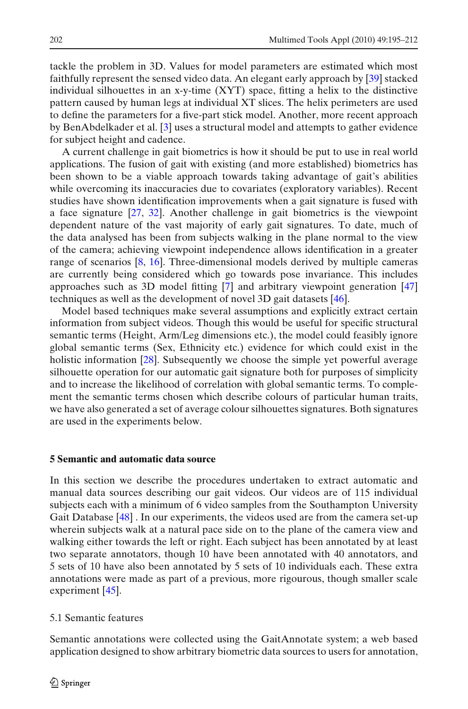<span id="page-7-0"></span>tackle the problem in 3D. Values for model parameters are estimated which most faithfully represent the sensed video data. An elegant early approach by [\[39](#page-16-0)] stacked individual silhouettes in an x-y-time (XYT) space, fitting a helix to the distinctive pattern caused by human legs at individual XT slices. The helix perimeters are used to define the parameters for a five-part stick model. Another, more recent approach by BenAbdelkader et al. [\[3](#page-15-0)] uses a structural model and attempts to gather evidence for subject height and cadence.

A current challenge in gait biometrics is how it should be put to use in real world applications. The fusion of gait with existing (and more established) biometrics has been shown to be a viable approach towards taking advantage of gait's abilities while overcoming its inaccuracies due to covariates (exploratory variables). Recent studies have shown identification improvements when a gait signature is fused with a face signature [\[27,](#page-15-0) [32](#page-16-0)]. Another challenge in gait biometrics is the viewpoint dependent nature of the vast majority of early gait signatures. To date, much of the data analysed has been from subjects walking in the plane normal to the view of the camera; achieving viewpoint independence allows identification in a greater range of scenarios [\[8,](#page-15-0) [16\]](#page-15-0). Three-dimensional models derived by multiple cameras are currently being considered which go towards pose invariance. This includes approaches such as 3D model fitting [\[7](#page-15-0)] and arbitrary viewpoint generation [\[47](#page-16-0)] techniques as well as the development of novel 3D gait datasets [\[46](#page-16-0)].

Model based techniques make several assumptions and explicitly extract certain information from subject videos. Though this would be useful for specific structural semantic terms (Height, Arm/Leg dimensions etc.), the model could feasibly ignore global semantic terms (Sex, Ethnicity etc.) evidence for which could exist in the holistic information [\[28](#page-15-0)]. Subsequently we choose the simple yet powerful average silhouette operation for our automatic gait signature both for purposes of simplicity and to increase the likelihood of correlation with global semantic terms. To complement the semantic terms chosen which describe colours of particular human traits, we have also generated a set of average colour silhouettes signatures. Both signatures are used in the experiments below.

#### **5 Semantic and automatic data source**

In this section we describe the procedures undertaken to extract automatic and manual data sources describing our gait videos. Our videos are of 115 individual subjects each with a minimum of 6 video samples from the Southampton University Gait Database [\[48\]](#page-16-0) . In our experiments, the videos used are from the camera set-up wherein subjects walk at a natural pace side on to the plane of the camera view and walking either towards the left or right. Each subject has been annotated by at least two separate annotators, though 10 have been annotated with 40 annotators, and 5 sets of 10 have also been annotated by 5 sets of 10 individuals each. These extra annotations were made as part of a previous, more rigourous, though smaller scale experiment [\[45\]](#page-16-0).

# 5.1 Semantic features

Semantic annotations were collected using the GaitAnnotate system; a web based application designed to show arbitrary biometric data sources to users for annotation,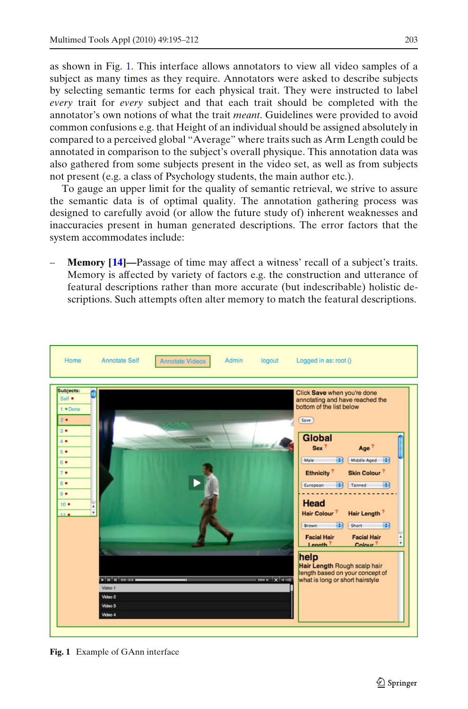as shown in Fig. 1. This interface allows annotators to view all video samples of a subject as many times as they require. Annotators were asked to describe subjects by selecting semantic terms for each physical trait. They were instructed to label *every* trait for *every* subject and that each trait should be completed with the annotator's own notions of what the trait *meant*. Guidelines were provided to avoid common confusions e.g. that Height of an individual should be assigned absolutely in compared to a perceived global "Average" where traits such as Arm Length could be annotated in comparison to the subject's overall physique. This annotation data was also gathered from some subjects present in the video set, as well as from subjects not present (e.g. a class of Psychology students, the main author etc.).

To gauge an upper limit for the quality of semantic retrieval, we strive to assure the semantic data is of optimal quality. The annotation gathering process was designed to carefully avoid (or allow the future study of) inherent weaknesses and inaccuracies present in human generated descriptions. The error factors that the system accommodates include:

– **Memory [\[14\]](#page-15-0)—**Passage of time may affect a witness' recall of a subject's traits. Memory is affected by variety of factors e.g. the construction and utterance of featural descriptions rather than more accurate (but indescribable) holistic descriptions. Such attempts often alter memory to match the featural descriptions.



**Fig. 1** Example of GAnn interface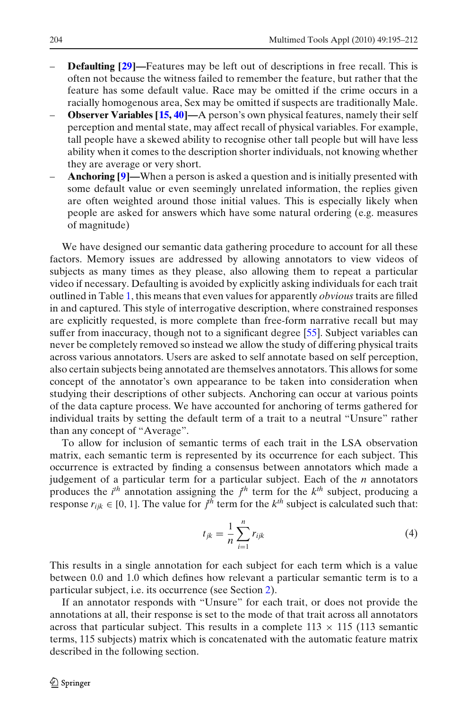- **Defaulting [\[29](#page-16-0)]—**Features may be left out of descriptions in free recall. This is often not because the witness failed to remember the feature, but rather that the feature has some default value. Race may be omitted if the crime occurs in a racially homogenous area, Sex may be omitted if suspects are traditionally Male.
- **Observer Variables [\[15,](#page-15-0) [40\]](#page-16-0)—**A person's own physical features, namely their self perception and mental state, may affect recall of physical variables. For example, tall people have a skewed ability to recognise other tall people but will have less ability when it comes to the description shorter individuals, not knowing whether they are average or very short.
- **Anchoring [\[9](#page-15-0)]—**When a person is asked a question and is initially presented with some default value or even seemingly unrelated information, the replies given are often weighted around those initial values. This is especially likely when people are asked for answers which have some natural ordering (e.g. measures of magnitude)

We have designed our semantic data gathering procedure to account for all these factors. Memory issues are addressed by allowing annotators to view videos of subjects as many times as they please, also allowing them to repeat a particular video if necessary. Defaulting is avoided by explicitly asking individuals for each trait outlined in Table [1,](#page-5-0) this means that even values for apparently *obvious* traits are filled in and captured. This style of interrogative description, where constrained responses are explicitly requested, is more complete than free-form narrative recall but may suffer from inaccuracy, though not to a significant degree [\[55\]](#page-16-0). Subject variables can never be completely removed so instead we allow the study of differing physical traits across various annotators. Users are asked to self annotate based on self perception, also certain subjects being annotated are themselves annotators. This allows for some concept of the annotator's own appearance to be taken into consideration when studying their descriptions of other subjects. Anchoring can occur at various points of the data capture process. We have accounted for anchoring of terms gathered for individual traits by setting the default term of a trait to a neutral "Unsure" rather than any concept of "Average".

To allow for inclusion of semantic terms of each trait in the LSA observation matrix, each semantic term is represented by its occurrence for each subject. This occurrence is extracted by finding a consensus between annotators which made a judgement of a particular term for a particular subject. Each of the *n* annotators produces the  $i^{th}$  annotation assigning the  $j^{th}$  term for the  $k^{th}$  subject, producing a response  $r_{ijk} \in [0, 1]$ . The value for  $j^{th}$  term for the  $k^{th}$  subject is calculated such that:

$$
t_{jk} = \frac{1}{n} \sum_{i=1}^{n} r_{ijk}
$$
 (4)

This results in a single annotation for each subject for each term which is a value between 0.0 and 1.0 which defines how relevant a particular semantic term is to a particular subject, i.e. its occurrence (see Section [2\)](#page-2-0).

If an annotator responds with "Unsure" for each trait, or does not provide the annotations at all, their response is set to the mode of that trait across all annotators across that particular subject. This results in a complete  $113 \times 115$  (113 semantic terms, 115 subjects) matrix which is concatenated with the automatic feature matrix described in the following section.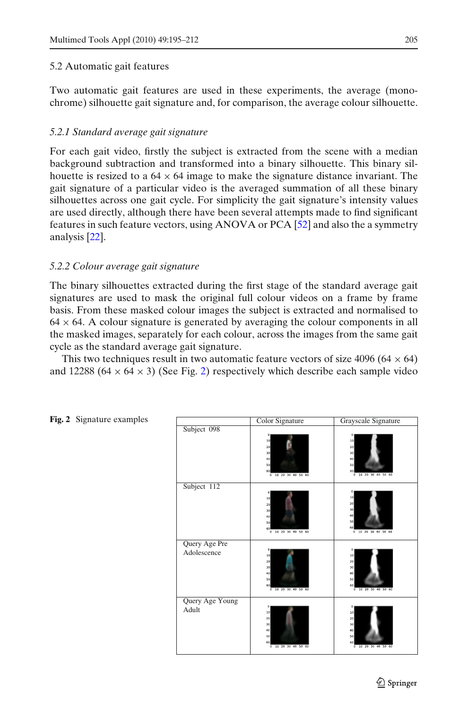Two automatic gait features are used in these experiments, the average (monochrome) silhouette gait signature and, for comparison, the average colour silhouette.

# *5.2.1 Standard average gait signature*

For each gait video, firstly the subject is extracted from the scene with a median background subtraction and transformed into a binary silhouette. This binary silhouette is resized to a  $64 \times 64$  image to make the signature distance invariant. The gait signature of a particular video is the averaged summation of all these binary silhouettes across one gait cycle. For simplicity the gait signature's intensity values are used directly, although there have been several attempts made to find significant features in such feature vectors, using ANOVA or PCA [\[52\]](#page-16-0) and also the a symmetry analysis [\[22](#page-15-0)].

# *5.2.2 Colour average gait signature*

The binary silhouettes extracted during the first stage of the standard average gait signatures are used to mask the original full colour videos on a frame by frame basis. From these masked colour images the subject is extracted and normalised to  $64 \times 64$ . A colour signature is generated by averaging the colour components in all the masked images, separately for each colour, across the images from the same gait cycle as the standard average gait signature.

This two techniques result in two automatic feature vectors of size 4096 (64  $\times$  64) and 12288 (64  $\times$  64  $\times$  3) (See Fig. 2) respectively which describe each sample video

|                              | Color Signature                                                 | Grayscale Signature                                                  |
|------------------------------|-----------------------------------------------------------------|----------------------------------------------------------------------|
| Subject 098                  | 10<br>20<br>30<br>40<br>S0<br>60<br>10 20 30 40 50 60<br>ō      | o<br>10<br>20<br>30<br>40<br>50<br>60<br>0 10 20 30 40 50 60         |
| Subject 112                  | ٥<br>10<br>20<br>30<br>40<br>50<br>60<br>$0$ 10 20 30 40 50 60  | $\bf 0$<br>10<br>20<br>30<br>40<br>50<br>60<br>$0$ 10 20 30 40 50 60 |
| Query Age Pre<br>Adolescence | 0<br>10<br>20<br>30<br>40<br>50<br>60<br>10 20 30 40 50 60<br>ត | 0<br>10<br>20<br>30<br>40<br>50<br>60<br>10 20 30 40 50 60<br>σ      |
| Query Age Young<br>Adult     | 0<br>10<br>20<br>30<br>40<br>50<br>60<br>$0$ 10 20 30 40 50 60  | 0<br>10<br>20<br>30<br>40<br>50<br>60<br>$0$ 10 20 30 40 50 60       |

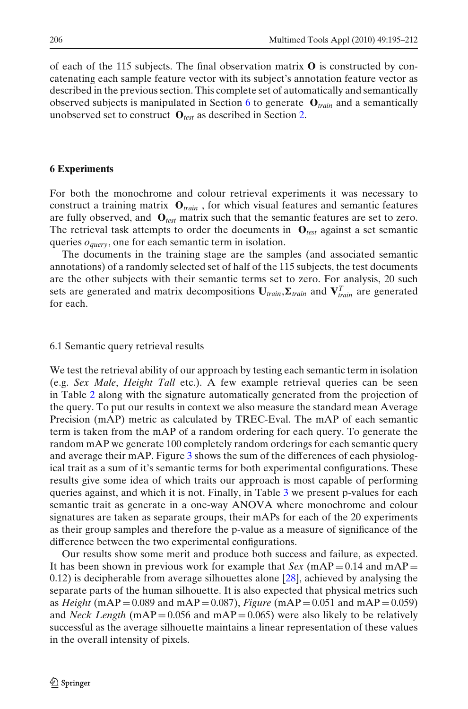<span id="page-11-0"></span>of each of the 115 subjects. The final observation matrix **O** is constructed by concatenating each sample feature vector with its subject's annotation feature vector as described in the previous section. This complete set of automatically and semantically observed subjects is manipulated in Section 6 to generate **O***train* and a semantically unobserved set to construct  $\mathbf{O}_{test}$  as described in Section [2.](#page-2-0)

# **6 Experiments**

For both the monochrome and colour retrieval experiments it was necessary to construct a training matrix **O***train* , for which visual features and semantic features are fully observed, and **O***test* matrix such that the semantic features are set to zero. The retrieval task attempts to order the documents in  $\mathbf{O}_{\text{test}}$  against a set semantic queries *oquery*, one for each semantic term in isolation.

The documents in the training stage are the samples (and associated semantic annotations) of a randomly selected set of half of the 115 subjects, the test documents are the other subjects with their semantic terms set to zero. For analysis, 20 such sets are generated and matrix decompositions  $\mathbf{U}_{train}, \mathbf{\Sigma}_{train}$  and  $\mathbf{V}_{train}^T$  are generated for each.

# 6.1 Semantic query retrieval results

We test the retrieval ability of our approach by testing each semantic term in isolation (e.g. *Sex Male*, *Height Tall* etc.). A few example retrieval queries can be seen in Table [2](#page-12-0) along with the signature automatically generated from the projection of the query. To put our results in context we also measure the standard mean Average Precision (mAP) metric as calculated by TREC-Eval. The mAP of each semantic term is taken from the mAP of a random ordering for each query. To generate the random mAP we generate 100 completely random orderings for each semantic query and average their mAP. Figure [3](#page-13-0) shows the sum of the differences of each physiological trait as a sum of it's semantic terms for both experimental configurations. These results give some idea of which traits our approach is most capable of performing queries against, and which it is not. Finally, in Table [3](#page-13-0) we present p-values for each semantic trait as generate in a one-way ANOVA where monochrome and colour signatures are taken as separate groups, their mAPs for each of the 20 experiments as their group samples and therefore the p-value as a measure of significance of the difference between the two experimental configurations.

Our results show some merit and produce both success and failure, as expected. It has been shown in previous work for example that *Sex* (mAP =  $0.14$  and mAP = 0.12) is decipherable from average silhouettes alone [\[28\]](#page-15-0), achieved by analysing the separate parts of the human silhouette. It is also expected that physical metrics such as *Height* (mAP = 0.089 and mAP = 0.087), *Figure* (mAP = 0.051 and mAP = 0.059) and *Neck Length* (mAP =  $0.056$  and mAP =  $0.065$ ) were also likely to be relatively successful as the average silhouette maintains a linear representation of these values in the overall intensity of pixels.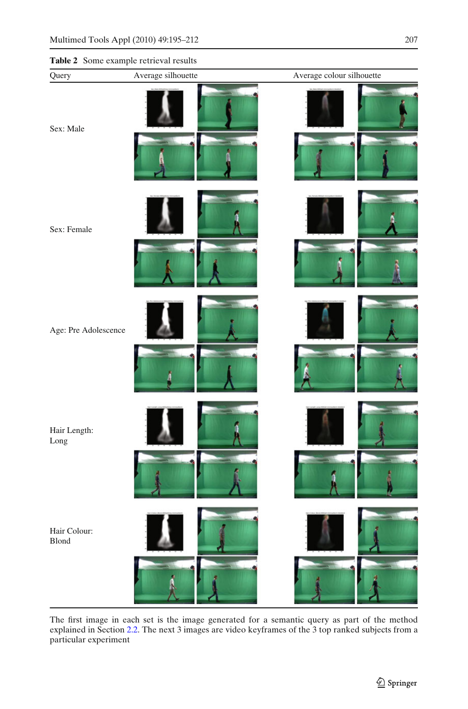<span id="page-12-0"></span>**Table 2** Some example retrieval results

The first image in each set is the image generated for a semantic query as part of the method explained in Section [2.2.](#page-2-0) The next 3 images are video keyframes of the 3 top ranked subjects from a particular experiment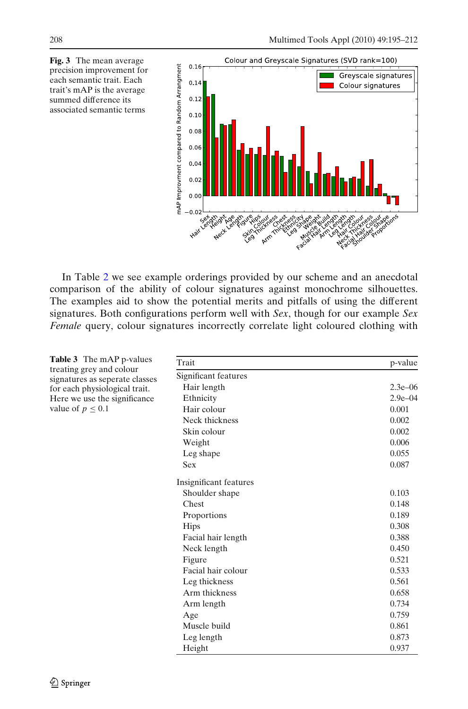

In Table [2](#page-12-0) we see example orderings provided by our scheme and an anecdotal comparison of the ability of colour signatures against monochrome silhouettes. The examples aid to show the potential merits and pitfalls of using the different signatures. Both configurations perform well with *Sex*, though for our example *Sex Female* query, colour signatures incorrectly correlate light coloured clothing with

| <b>Table 3</b> The mAP p-values<br>treating grey and colour<br>signatures as seperate classes<br>for each physiological trait.<br>Here we use the significance<br>value of $p \leq 0.1$ | Trait                  | p-value     |
|-----------------------------------------------------------------------------------------------------------------------------------------------------------------------------------------|------------------------|-------------|
|                                                                                                                                                                                         | Significant features   |             |
|                                                                                                                                                                                         | Hair length            | $2.3e - 06$ |
|                                                                                                                                                                                         | Ethnicity              | $2.9e - 04$ |
|                                                                                                                                                                                         | Hair colour            | 0.001       |
|                                                                                                                                                                                         | Neck thickness         | 0.002       |
|                                                                                                                                                                                         | Skin colour            | 0.002       |
|                                                                                                                                                                                         | Weight                 | 0.006       |
|                                                                                                                                                                                         | Leg shape              | 0.055       |
|                                                                                                                                                                                         | Sex                    | 0.087       |
|                                                                                                                                                                                         | Insignificant features |             |
|                                                                                                                                                                                         | Shoulder shape         | 0.103       |
|                                                                                                                                                                                         | Chest                  | 0.148       |
|                                                                                                                                                                                         | Proportions            | 0.189       |
|                                                                                                                                                                                         | <b>Hips</b>            | 0.308       |
|                                                                                                                                                                                         | Facial hair length     | 0.388       |
|                                                                                                                                                                                         | Neck length            | 0.450       |
|                                                                                                                                                                                         | Figure                 | 0.521       |
|                                                                                                                                                                                         | Facial hair colour     | 0.533       |
|                                                                                                                                                                                         | Leg thickness          | 0.561       |
|                                                                                                                                                                                         | Arm thickness          | 0.658       |
|                                                                                                                                                                                         | Arm length             | 0.734       |
|                                                                                                                                                                                         | Age                    | 0.759       |
|                                                                                                                                                                                         | Muscle build           | 0.861       |
|                                                                                                                                                                                         | Leg length             | 0.873       |
|                                                                                                                                                                                         | Height                 | 0.937       |

<span id="page-13-0"></span>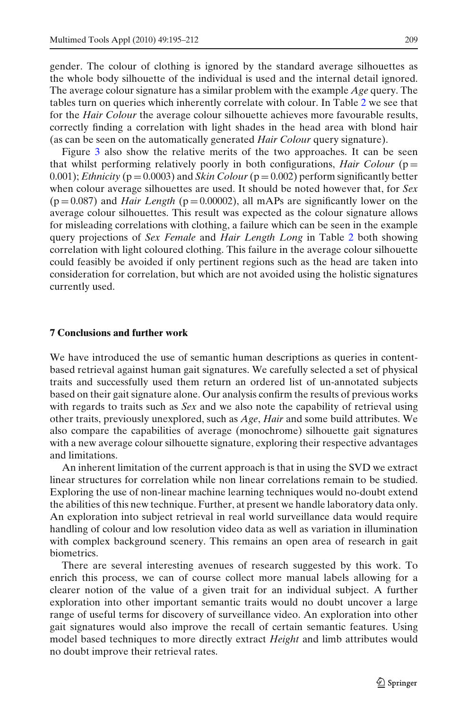<span id="page-14-0"></span>gender. The colour of clothing is ignored by the standard average silhouettes as the whole body silhouette of the individual is used and the internal detail ignored. The average colour signature has a similar problem with the example *Age* query. The tables turn on queries which inherently correlate with colour. In Table [2](#page-12-0) we see that for the *Hair Colour* the average colour silhouette achieves more favourable results, correctly finding a correlation with light shades in the head area with blond hair (as can be seen on the automatically generated *Hair Colour* query signature).

Figure [3](#page-13-0) also show the relative merits of the two approaches. It can be seen that whilst performing relatively poorly in both configurations, *Hair Colour* ( $p =$ 0.001); *Ethnicity* ( $p = 0.0003$ ) and *Skin Colour* ( $p = 0.002$ ) perform significantly better when colour average silhouettes are used. It should be noted however that, for *Sex*  $(p=0.087)$  and *Hair Length* ( $p=0.00002$ ), all mAPs are significantly lower on the average colour silhouettes. This result was expected as the colour signature allows for misleading correlations with clothing, a failure which can be seen in the example query projections of *Sex Female* and *Hair Length Long* in Table [2](#page-12-0) both showing correlation with light coloured clothing. This failure in the average colour silhouette could feasibly be avoided if only pertinent regions such as the head are taken into consideration for correlation, but which are not avoided using the holistic signatures currently used.

#### **7 Conclusions and further work**

We have introduced the use of semantic human descriptions as queries in contentbased retrieval against human gait signatures. We carefully selected a set of physical traits and successfully used them return an ordered list of un-annotated subjects based on their gait signature alone. Our analysis confirm the results of previous works with regards to traits such as *Sex* and we also note the capability of retrieval using other traits, previously unexplored, such as *Age*, *Hair* and some build attributes. We also compare the capabilities of average (monochrome) silhouette gait signatures with a new average colour silhouette signature, exploring their respective advantages and limitations.

An inherent limitation of the current approach is that in using the SVD we extract linear structures for correlation while non linear correlations remain to be studied. Exploring the use of non-linear machine learning techniques would no-doubt extend the abilities of this new technique. Further, at present we handle laboratory data only. An exploration into subject retrieval in real world surveillance data would require handling of colour and low resolution video data as well as variation in illumination with complex background scenery. This remains an open area of research in gait biometrics.

There are several interesting avenues of research suggested by this work. To enrich this process, we can of course collect more manual labels allowing for a clearer notion of the value of a given trait for an individual subject. A further exploration into other important semantic traits would no doubt uncover a large range of useful terms for discovery of surveillance video. An exploration into other gait signatures would also improve the recall of certain semantic features. Using model based techniques to more directly extract *Height* and limb attributes would no doubt improve their retrieval rates.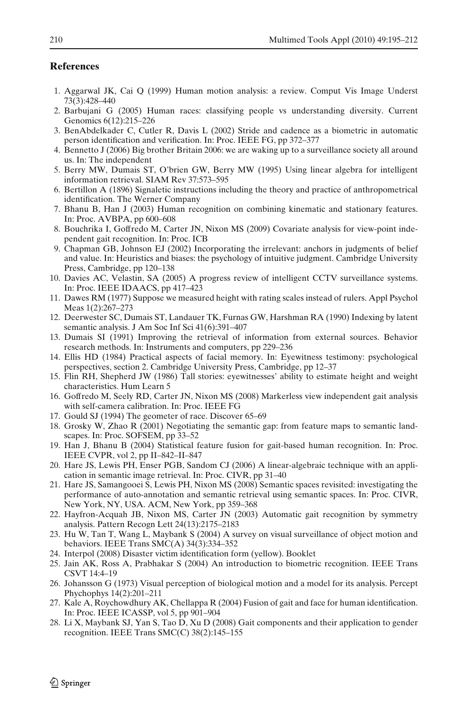# <span id="page-15-0"></span>**References**

- 1. Aggarwal JK, Cai Q (1999) Human motion analysis: a review. Comput Vis Image Underst 73(3):428–440
- 2. Barbujani G (2005) Human races: classifying people vs understanding diversity. Current Genomics 6(12):215–226
- 3. BenAbdelkader C, Cutler R, Davis L (2002) Stride and cadence as a biometric in automatic person identification and verification. In: Proc. IEEE FG, pp 372–377
- 4. Bennetto J (2006) Big brother Britain 2006: we are waking up to a surveillance society all around us. In: The independent
- 5. Berry MW, Dumais ST, O'brien GW, Berry MW (1995) Using linear algebra for intelligent information retrieval. SIAM Rev 37:573–595
- 6. Bertillon A (1896) Signaletic instructions including the theory and practice of anthropometrical identification. The Werner Company
- 7. Bhanu B, Han J (2003) Human recognition on combining kinematic and stationary features. In: Proc. AVBPA, pp 600–608
- 8. Bouchrika I, Goffredo M, Carter JN, Nixon MS (2009) Covariate analysis for view-point independent gait recognition. In: Proc. ICB
- 9. Chapman GB, Johnson EJ (2002) Incorporating the irrelevant: anchors in judgments of belief and value. In: Heuristics and biases: the psychology of intuitive judgment. Cambridge University Press, Cambridge, pp 120–138
- 10. Davies AC, Velastin, SA (2005) A progress review of intelligent CCTV surveillance systems. In: Proc. IEEE IDAACS, pp 417–423
- 11. Dawes RM (1977) Suppose we measured height with rating scales instead of rulers. Appl Psychol Meas 1(2):267–273
- 12. Deerwester SC, Dumais ST, Landauer TK, Furnas GW, Harshman RA (1990) Indexing by latent semantic analysis. J Am Soc Inf Sci 41(6):391–407
- 13. Dumais SI (1991) Improving the retrieval of information from external sources. Behavior research methods. In: Instruments and computers, pp 229–236
- 14. Ellis HD (1984) Practical aspects of facial memory. In: Eyewitness testimony: psychological perspectives, section 2. Cambridge University Press, Cambridge, pp 12–37
- 15. Flin RH, Shepherd JW (1986) Tall stories: eyewitnesses' ability to estimate height and weight characteristics. Hum Learn 5
- 16. Goffredo M, Seely RD, Carter JN, Nixon MS (2008) Markerless view independent gait analysis with self-camera calibration. In: Proc. IEEE FG
- 17. Gould SJ (1994) The geometer of race. Discover 65–69
- 18. Grosky W, Zhao R (2001) Negotiating the semantic gap: from feature maps to semantic landscapes. In: Proc. SOFSEM, pp 33–52
- 19. Han J, Bhanu B (2004) Statistical feature fusion for gait-based human recognition. In: Proc. IEEE CVPR, vol 2, pp II–842–II–847
- 20. Hare JS, Lewis PH, Enser PGB, Sandom CJ (2006) A linear-algebraic technique with an application in semantic image retrieval. In: Proc. CIVR, pp 31–40
- 21. Hare JS, Samangooei S, Lewis PH, Nixon MS (2008) Semantic spaces revisited: investigating the performance of auto-annotation and semantic retrieval using semantic spaces. In: Proc. CIVR, New York, NY, USA. ACM, New York, pp 359–368
- 22. Hayfron-Acquah JB, Nixon MS, Carter JN (2003) Automatic gait recognition by symmetry analysis. Pattern Recogn Lett 24(13):2175–2183
- 23. Hu W, Tan T, Wang L, Maybank S (2004) A survey on visual surveillance of object motion and behaviors. IEEE Trans SMC(A) 34(3):334–352
- 24. Interpol (2008) Disaster victim identification form (yellow). Booklet
- 25. Jain AK, Ross A, Prabhakar S (2004) An introduction to biometric recognition. IEEE Trans CSVT 14:4–19
- 26. Johansson G (1973) Visual perception of biological motion and a model for its analysis. Percept Phychophys 14(2):201–211
- 27. Kale A, Roychowdhury AK, Chellappa R (2004) Fusion of gait and face for human identification. In: Proc. IEEE ICASSP, vol 5, pp 901–904
- 28. Li X, Maybank SJ, Yan S, Tao D, Xu D (2008) Gait components and their application to gender recognition. IEEE Trans SMC(C) 38(2):145–155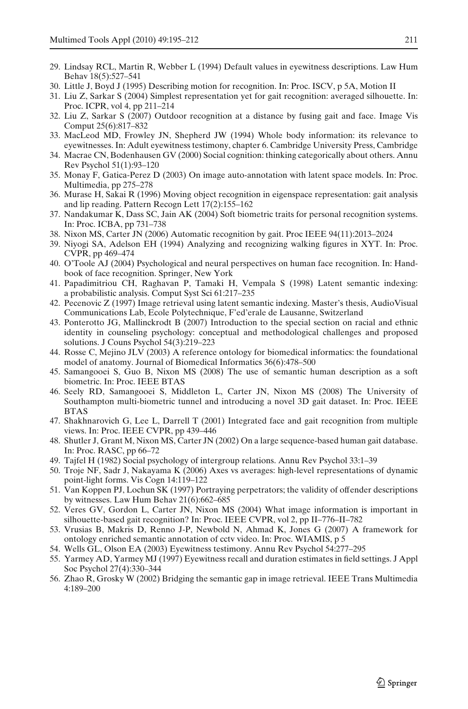- <span id="page-16-0"></span>29. Lindsay RCL, Martin R, Webber L (1994) Default values in eyewitness descriptions. Law Hum Behav 18(5):527–541
- 30. Little J, Boyd J (1995) Describing motion for recognition. In: Proc. ISCV, p 5A, Motion II
- 31. Liu Z, Sarkar S (2004) Simplest representation yet for gait recognition: averaged silhouette. In: Proc. ICPR, vol 4, pp 211–214
- 32. Liu Z, Sarkar S (2007) Outdoor recognition at a distance by fusing gait and face. Image Vis Comput 25(6):817–832
- 33. MacLeod MD, Frowley JN, Shepherd JW (1994) Whole body information: its relevance to eyewitnesses. In: Adult eyewitness testimony, chapter 6. Cambridge University Press, Cambridge
- 34. Macrae CN, Bodenhausen GV (2000) Social cognition: thinking categorically about others. Annu Rev Psychol 51(1):93–120
- 35. Monay F, Gatica-Perez D (2003) On image auto-annotation with latent space models. In: Proc. Multimedia, pp 275–278
- 36. Murase H, Sakai R (1996) Moving object recognition in eigenspace representation: gait analysis and lip reading. Pattern Recogn Lett 17(2):155–162
- 37. Nandakumar K, Dass SC, Jain AK (2004) Soft biometric traits for personal recognition systems. In: Proc. ICBA, pp 731–738
- 38. Nixon MS, Carter JN (2006) Automatic recognition by gait. Proc IEEE 94(11):2013–2024
- 39. Niyogi SA, Adelson EH (1994) Analyzing and recognizing walking figures in XYT. In: Proc. CVPR, pp 469–474
- 40. O'Toole AJ (2004) Psychological and neural perspectives on human face recognition. In: Handbook of face recognition. Springer, New York
- 41. Papadimitriou CH, Raghavan P, Tamaki H, Vempala S (1998) Latent semantic indexing: a probabilistic analysis. Comput Syst Sci 61:217–235
- 42. Pecenovic Z (1997) Image retrieval using latent semantic indexing. Master's thesis, AudioVisual Communications Lab, Ecole Polytechnique, F'ed'erale de Lausanne, Switzerland
- 43. Ponterotto JG, Mallinckrodt B (2007) Introduction to the special section on racial and ethnic identity in counseling psychology: conceptual and methodological challenges and proposed solutions. J Couns Psychol 54(3):219–223
- 44. Rosse C, Mejino JLV (2003) A reference ontology for biomedical informatics: the foundational model of anatomy. Journal of Biomedical Informatics 36(6):478–500
- 45. Samangooei S, Guo B, Nixon MS (2008) The use of semantic human description as a soft biometric. In: Proc. IEEE BTAS
- 46. Seely RD, Samangooei S, Middleton L, Carter JN, Nixon MS (2008) The University of Southampton multi-biometric tunnel and introducing a novel 3D gait dataset. In: Proc. IEEE BTAS
- 47. Shakhnarovich G, Lee L, Darrell T (2001) Integrated face and gait recognition from multiple views. In: Proc. IEEE CVPR, pp 439–446
- 48. Shutler J, Grant M, Nixon MS, Carter JN (2002) On a large sequence-based human gait database. In: Proc. RASC, pp 66–72
- 49. Tajfel H (1982) Social psychology of intergroup relations. Annu Rev Psychol 33:1–39
- 50. Troje NF, Sadr J, Nakayama K (2006) Axes vs averages: high-level representations of dynamic point-light forms. Vis Cogn 14:119–122
- 51. Van Koppen PJ, Lochun SK (1997) Portraying perpetrators; the validity of offender descriptions by witnesses. Law Hum Behav 21(6):662–685
- 52. Veres GV, Gordon L, Carter JN, Nixon MS (2004) What image information is important in silhouette-based gait recognition? In: Proc. IEEE CVPR, vol 2, pp II–776–II–782
- 53. Vrusias B, Makris D, Renno J-P, Newbold N, Ahmad K, Jones G (2007) A framework for ontology enriched semantic annotation of cctv video. In: Proc. WIAMIS, p 5
- 54. Wells GL, Olson EA (2003) Eyewitness testimony. Annu Rev Psychol 54:277–295
- 55. Yarmey AD, Yarmey MJ (1997) Eyewitness recall and duration estimates in field settings. J Appl Soc Psychol 27(4):330–344
- 56. Zhao R, Grosky W (2002) Bridging the semantic gap in image retrieval. IEEE Trans Multimedia 4:189–200